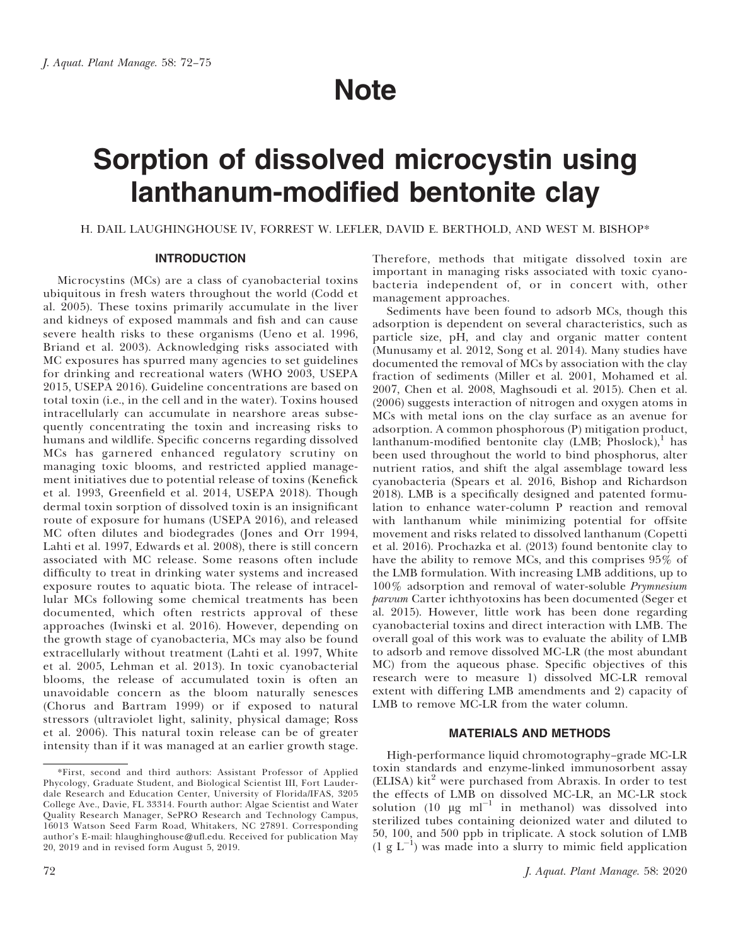# Note

# Sorption of dissolved microcystin using lanthanum-modified bentonite clay

H. DAIL LAUGHINGHOUSE IV, FORREST W. LEFLER, DAVID E. BERTHOLD, AND WEST M. BISHOP\*

# INTRODUCTION

Microcystins (MCs) are a class of cyanobacterial toxins ubiquitous in fresh waters throughout the world (Codd et al. 2005). These toxins primarily accumulate in the liver and kidneys of exposed mammals and fish and can cause severe health risks to these organisms (Ueno et al. 1996, Briand et al. 2003). Acknowledging risks associated with MC exposures has spurred many agencies to set guidelines for drinking and recreational waters (WHO 2003, USEPA 2015, USEPA 2016). Guideline concentrations are based on total toxin (i.e., in the cell and in the water). Toxins housed intracellularly can accumulate in nearshore areas subsequently concentrating the toxin and increasing risks to humans and wildlife. Specific concerns regarding dissolved MCs has garnered enhanced regulatory scrutiny on managing toxic blooms, and restricted applied management initiatives due to potential release of toxins (Kenefick et al. 1993, Greenfield et al. 2014, USEPA 2018). Though dermal toxin sorption of dissolved toxin is an insignificant route of exposure for humans (USEPA 2016), and released MC often dilutes and biodegrades (Jones and Orr 1994, Lahti et al. 1997, Edwards et al. 2008), there is still concern associated with MC release. Some reasons often include difficulty to treat in drinking water systems and increased exposure routes to aquatic biota. The release of intracellular MCs following some chemical treatments has been documented, which often restricts approval of these approaches (Iwinski et al. 2016). However, depending on the growth stage of cyanobacteria, MCs may also be found extracellularly without treatment (Lahti et al. 1997, White et al. 2005, Lehman et al. 2013). In toxic cyanobacterial blooms, the release of accumulated toxin is often an unavoidable concern as the bloom naturally senesces (Chorus and Bartram 1999) or if exposed to natural stressors (ultraviolet light, salinity, physical damage; Ross et al. 2006). This natural toxin release can be of greater intensity than if it was managed at an earlier growth stage.

Therefore, methods that mitigate dissolved toxin are important in managing risks associated with toxic cyanobacteria independent of, or in concert with, other management approaches.

Sediments have been found to adsorb MCs, though this adsorption is dependent on several characteristics, such as particle size, pH, and clay and organic matter content (Munusamy et al. 2012, Song et al. 2014). Many studies have documented the removal of MCs by association with the clay fraction of sediments (Miller et al. 2001, Mohamed et al. 2007, Chen et al. 2008, Maghsoudi et al. 2015). Chen et al. (2006) suggests interaction of nitrogen and oxygen atoms in MCs with metal ions on the clay surface as an avenue for adsorption. A common phosphorous (P) mitigation product, lanthanum-modified bentonite clay (LMB;  $\overline{P}$ hoslock),<sup>1</sup> has been used throughout the world to bind phosphorus, alter nutrient ratios, and shift the algal assemblage toward less cyanobacteria (Spears et al. 2016, Bishop and Richardson 2018). LMB is a specifically designed and patented formulation to enhance water-column P reaction and removal with lanthanum while minimizing potential for offsite movement and risks related to dissolved lanthanum (Copetti et al. 2016). Prochazka et al. (2013) found bentonite clay to have the ability to remove MCs, and this comprises 95% of the LMB formulation. With increasing LMB additions, up to 100% adsorption and removal of water-soluble Prymnesium parvum Carter ichthyotoxins has been documented (Seger et al. 2015). However, little work has been done regarding cyanobacterial toxins and direct interaction with LMB. The overall goal of this work was to evaluate the ability of LMB to adsorb and remove dissolved MC-LR (the most abundant MC) from the aqueous phase. Specific objectives of this research were to measure 1) dissolved MC-LR removal extent with differing LMB amendments and 2) capacity of LMB to remove MC-LR from the water column.

# MATERIALS AND METHODS

High-performance liquid chromotography–grade MC-LR toxin standards and enzyme-linked immunosorbent assay (ELISA) kit<sup>2</sup> were purchased from Abraxis. In order to test the effects of LMB on dissolved MC-LR, an MC-LR stock solution (10  $\mu$ g ml<sup>-1</sup> in methanol) was dissolved into sterilized tubes containing deionized water and diluted to 50, 100, and 500 ppb in triplicate. A stock solution of LMB  $(1 \nvert g \nvert L^{-1})$  was made into a slurry to mimic field application

<sup>\*</sup>First, second and third authors: Assistant Professor of Applied Phycology, Graduate Student, and Biological Scientist III, Fort Lauderdale Research and Education Center, University of Florida/IFAS, 3205 College Ave., Davie, FL 33314. Fourth author: Algae Scientist and Water Quality Research Manager, SePRO Research and Technology Campus, 16013 Watson Seed Farm Road, Whitakers, NC 27891. Corresponding author's E-mail: hlaughinghouse@ufl.edu. Received for publication May 20, 2019 and in revised form August 5, 2019.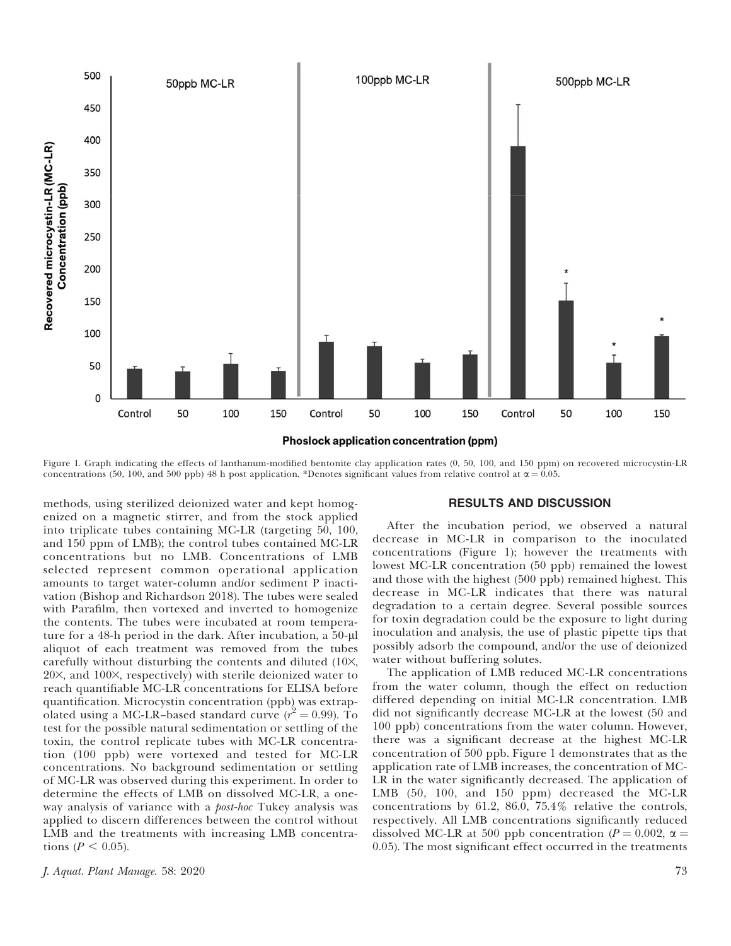

Figure 1. Graph indicating the effects of lanthanum-modified bentonite clay application rates (0, 50, 100, and 150 ppm) on recovered microcystin-LR concentrations (50, 100, and 500 ppb) 48 h post application. \*Denotes significant values from relative control at  $\alpha$  = 0.05.

methods, using sterilized deionized water and kept homogenized on a magnetic stirrer, and from the stock applied into triplicate tubes containing MC-LR (targeting 50, 100, and 150 ppm of LMB); the control tubes contained MC-LR concentrations but no LMB. Concentrations of LMB selected represent common operational application amounts to target water-column and/or sediment P inactivation (Bishop and Richardson 2018). The tubes were sealed with Parafilm, then vortexed and inverted to homogenize the contents. The tubes were incubated at room temperature for a  $48$ -h period in the dark. After incubation, a  $50$ - $\mu$ l aliquot of each treatment was removed from the tubes carefully without disturbing the contents and diluted  $(10\times, 10^{-4})$ 20×, and 100×, respectively) with sterile deionized water to reach quantifiable MC-LR concentrations for ELISA before quantification. Microcystin concentration (ppb) was extrapolated using a MC-LR-based standard curve  $(r^2 = 0.99)$ . To test for the possible natural sedimentation or settling of the toxin, the control replicate tubes with MC-LR concentration (100 ppb) were vortexed and tested for MC-LR concentrations. No background sedimentation or settling of MC-LR was observed during this experiment. In order to determine the effects of LMB on dissolved MC-LR, a oneway analysis of variance with a *post-hoc* Tukey analysis was applied to discern differences between the control without LMB and the treatments with increasing LMB concentrations ( $P < 0.05$ ).

### RESULTS AND DISCUSSION

After the incubation period, we observed a natural decrease in MC-LR in comparison to the inoculated concentrations (Figure 1); however the treatments with lowest MC-LR concentration (50 ppb) remained the lowest and those with the highest (500 ppb) remained highest. This decrease in MC-LR indicates that there was natural degradation to a certain degree. Several possible sources for toxin degradation could be the exposure to light during inoculation and analysis, the use of plastic pipette tips that possibly adsorb the compound, and/or the use of deionized water without buffering solutes.

The application of LMB reduced MC-LR concentrations from the water column, though the effect on reduction differed depending on initial MC-LR concentration. LMB did not significantly decrease MC-LR at the lowest (50 and 100 ppb) concentrations from the water column. However, there was a significant decrease at the highest MC-LR concentration of 500 ppb. Figure 1 demonstrates that as the application rate of LMB increases, the concentration of MC-LR in the water significantly decreased. The application of LMB (50, 100, and 150 ppm) decreased the MC-LR concentrations by 61.2, 86.0, 75.4% relative the controls, respectively. All LMB concentrations significantly reduced dissolved MC-LR at 500 ppb concentration ( $P = 0.002$ ,  $\alpha =$ 0.05). The most significant effect occurred in the treatments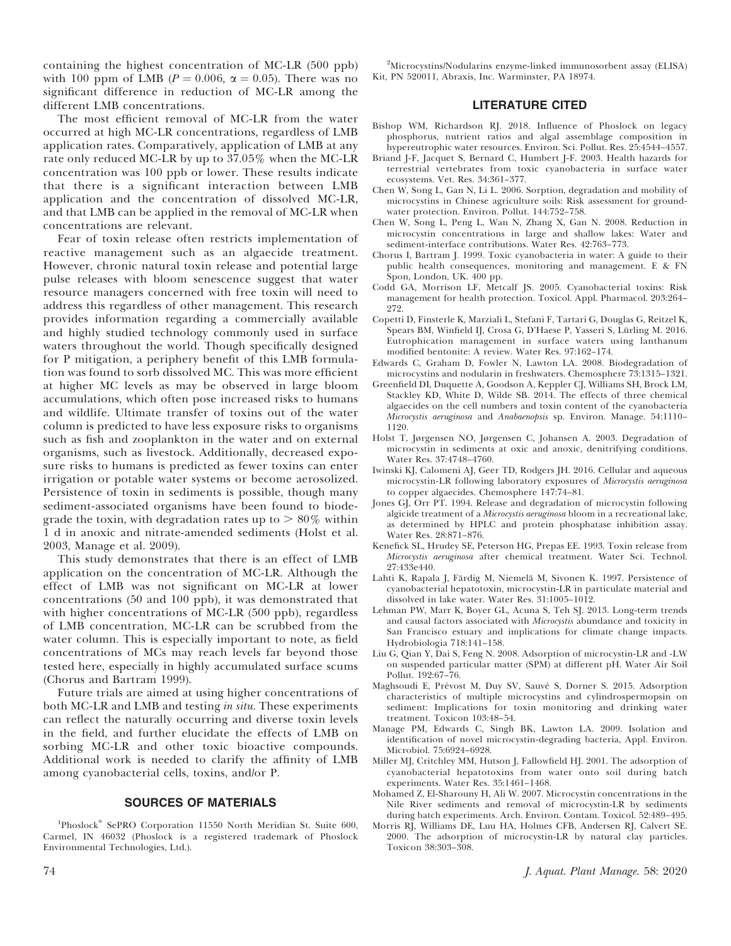containing the highest concentration of MC-LR (500 ppb) with 100 ppm of LMB ( $P = 0.006$ ,  $\alpha = 0.05$ ). There was no significant difference in reduction of MC-LR among the different LMB concentrations.

The most efficient removal of MC-LR from the water occurred at high MC-LR concentrations, regardless of LMB application rates. Comparatively, application of LMB at any rate only reduced MC-LR by up to 37.05% when the MC-LR concentration was 100 ppb or lower. These results indicate that there is a significant interaction between LMB application and the concentration of dissolved MC-LR, and that LMB can be applied in the removal of MC-LR when concentrations are relevant.

Fear of toxin release often restricts implementation of reactive management such as an algaecide treatment. However, chronic natural toxin release and potential large pulse releases with bloom senescence suggest that water resource managers concerned with free toxin will need to address this regardless of other management. This research provides information regarding a commercially available and highly studied technology commonly used in surface waters throughout the world. Though specifically designed for P mitigation, a periphery benefit of this LMB formulation was found to sorb dissolved MC. This was more efficient at higher MC levels as may be observed in large bloom accumulations, which often pose increased risks to humans and wildlife. Ultimate transfer of toxins out of the water column is predicted to have less exposure risks to organisms such as fish and zooplankton in the water and on external organisms, such as livestock. Additionally, decreased exposure risks to humans is predicted as fewer toxins can enter irrigation or potable water systems or become aerosolized. Persistence of toxin in sediments is possible, though many sediment-associated organisms have been found to biodegrade the toxin, with degradation rates up to  $> 80\%$  within 1 d in anoxic and nitrate-amended sediments (Holst et al. 2003, Manage et al. 2009).

This study demonstrates that there is an effect of LMB application on the concentration of MC-LR. Although the effect of LMB was not significant on MC-LR at lower concentrations (50 and 100 ppb), it was demonstrated that with higher concentrations of MC-LR (500 ppb), regardless of LMB concentration, MC-LR can be scrubbed from the water column. This is especially important to note, as field concentrations of MCs may reach levels far beyond those tested here, especially in highly accumulated surface scums (Chorus and Bartram 1999).

Future trials are aimed at using higher concentrations of both MC-LR and LMB and testing *in situ*. These experiments can reflect the naturally occurring and diverse toxin levels in the field, and further elucidate the effects of LMB on sorbing MC-LR and other toxic bioactive compounds. Additional work is needed to clarify the affinity of LMB among cyanobacterial cells, toxins, and/or P.

# SOURCES OF MATERIALS

<sup>1</sup>Phoslock<sup>®</sup> SePRO Corporation 11550 North Meridian St. Suite 600, Carmel, IN 46032 (Phoslock is a registered trademark of Phoslock Environmental Technologies, Ltd.).

2 Microcystins/Nodularins enzyme-linked immunosorbent assay (ELISA) Kit, PN 520011, Abraxis, Inc. Warminster, PA 18974.

## LITERATURE CITED

- Bishop WM, Richardson RJ. 2018. Influence of Phoslock on legacy phosphorus, nutrient ratios and algal assemblage composition in hypereutrophic water resources. Environ. Sci. Pollut. Res. 25:4544–4557.
- Briand J-F, Jacquet S, Bernard C, Humbert J-F. 2003. Health hazards for terrestrial vertebrates from toxic cyanobacteria in surface water ecosystems. Vet. Res. 34:361–377.
- Chen W, Song L, Gan N, Li L. 2006. Sorption, degradation and mobility of microcystins in Chinese agriculture soils: Risk assessment for groundwater protection. Environ. Pollut. 144:752–758.
- Chen W, Song L, Peng L, Wan N, Zhang X, Gan N. 2008. Reduction in microcystin concentrations in large and shallow lakes: Water and sediment-interface contributions. Water Res. 42:763–773.
- Chorus I, Bartram J. 1999. Toxic cyanobacteria in water: A guide to their public health consequences, monitoring and management. E & FN Spon, London, UK. 400 pp.
- Codd GA, Morrison LF, Metcalf JS. 2005. Cyanobacterial toxins: Risk management for health protection. Toxicol. Appl. Pharmacol. 203:264– 272.
- Copetti D, Finsterle K, Marziali L, Stefani F, Tartari G, Douglas G, Reitzel K, Spears BM, Winfield IJ, Crosa G, D'Haese P, Yasseri S, Lürling M. 2016. Eutrophication management in surface waters using lanthanum modified bentonite: A review. Water Res. 97:162–174.
- Edwards C, Graham D, Fowler N, Lawton LA. 2008. Biodegradation of microcystins and nodularin in freshwaters. Chemosphere 73:1315–1321.
- Greenfield DI, Duquette A, Goodson A, Keppler CJ, Williams SH, Brock LM, Stackley KD, White D, Wilde SB. 2014. The effects of three chemical algaecides on the cell numbers and toxin content of the cyanobacteria Microcystis aeruginosa and Anabaenopsis sp. Environ. Manage. 54:1110– 1120.
- Holst T, Jørgensen NO, Jørgensen C, Johansen A. 2003. Degradation of microcystin in sediments at oxic and anoxic, denitrifying conditions. Water Res. 37:4748–4760.
- Iwinski KJ, Calomeni AJ, Geer TD, Rodgers JH. 2016. Cellular and aqueous microcystin-LR following laboratory exposures of Microcystis aeruginosa to copper algaecides. Chemosphere 147:74–81.
- Jones GJ, Orr PT. 1994. Release and degradation of microcystin following algicide treatment of a Microcystis aeruginosa bloom in a recreational lake, as determined by HPLC and protein phosphatase inhibition assay. Water Res. 28:871–876.
- Kenefick SL, Hrudey SE, Peterson HG, Prepas EE. 1993. Toxin release from Microcystis aeruginosa after chemical treatment. Water Sci. Technol. 27:433e440.
- Lahti K, Rapala J, Färdig M, Niemelä M, Sivonen K. 1997. Persistence of cyanobacterial hepatotoxin, microcystin-LR in particulate material and dissolved in lake water. Water Res. 31:1005–1012.
- Lehman PW, Marr K, Boyer GL, Acuna S, Teh SJ. 2013. Long-term trends and causal factors associated with Microcystis abundance and toxicity in San Francisco estuary and implications for climate change impacts. Hydrobiologia 718:141–158.
- Liu G, Qian Y, Dai S, Feng N. 2008. Adsorption of microcystin-LR and -LW on suspended particular matter (SPM) at different pH. Water Air Soil Pollut. 192:67–76.
- Maghsoudi E, Prévost M, Duy SV, Sauvé S, Dorner S. 2015. Adsorption characteristics of multiple microcystins and cylindrospermopsin on sediment: Implications for toxin monitoring and drinking water treatment. Toxicon 103:48–54.
- Manage PM, Edwards C, Singh BK, Lawton LA. 2009. Isolation and identification of novel microcystin-degrading bacteria, Appl. Environ. Microbiol. 75:6924–6928.
- Miller MJ, Critchley MM, Hutson J, Fallowfield HJ. 2001. The adsorption of cyanobacterial hepatotoxins from water onto soil during batch experiments. Water Res. 35:1461–1468.
- Mohamed Z, El-Sharouny H, Ali W. 2007. Microcystin concentrations in the Nile River sediments and removal of microcystin-LR by sediments during batch experiments. Arch. Environ. Contam. Toxicol. 52:489–495.
- Morris RJ, Williams DE, Luu HA, Holmes CFB, Andersen RJ, Calvert SE. 2000. The adsorption of microcystin-LR by natural clay particles. Toxicon 38:303–308.